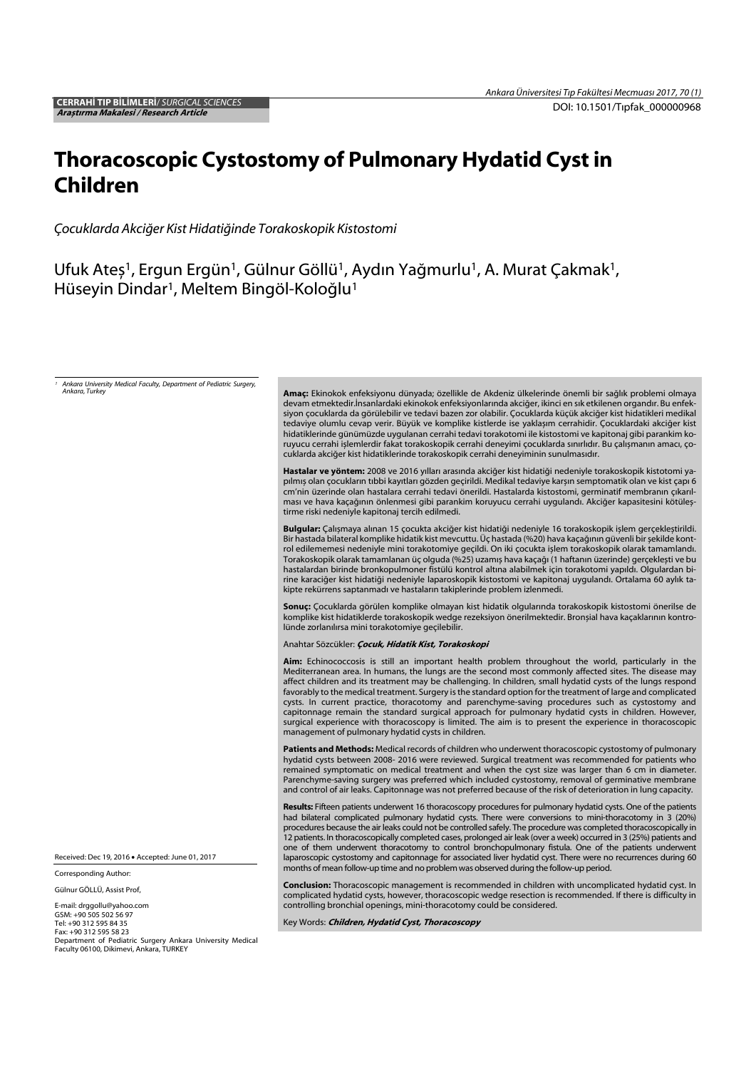# Thoracoscopic Cystostomy of Pulmonary Hydatid Cyst in Children

*Çocuklarda Akci*ğ*er Kist Hidati*ğ*inde Torakoskopik Kistostomi*

Ufuk Ateş<sup>1</sup>, Ergun Ergün<sup>1</sup>, Gülnur Göllü<sup>1</sup>, Aydın Yağmurlu<sup>1</sup>, A. Murat Çakmak<sup>1</sup>, Hüseyin Dindar<sup>1</sup>, Meltem Bingöl-Koloğlu<sup>1</sup>

*1 Ankara University Medical Faculty, Department of Pediatric Surgery, Ankara, Turkey* Amaç: Ekinokok enfeksiyonu dünyada; özellikle de Akdeniz ülkelerinde önemli bir sağlık problemi olmaya devam etmektedir.İnsanlardaki ekinokok enfeksiyonlarında akciğer, ikinci en sık etkilenen organdır. Bu enfeksiyon çocuklarda da görülebilir ve tedavi bazen zor olabilir. Çocuklarda küçük akciğer kist hidatikleri medikal tedaviye olumlu cevap verir. Büyük ve komplike kistlerde ise yaklașım cerrahidir. Çocuklardaki akciğer kist hidatiklerinde günümüzde uygulanan cerrahi tedavi torakotomi ile kistostomi ve kapitonaj gibi parankim koruyucu cerrahi ișlemlerdir fakat torakoskopik cerrahi deneyimi çocuklarda sınırlıdır. Bu çalıșmanın amacı, çocuklarda akciğer kist hidatiklerinde torakoskopik cerrahi deneyiminin sunulmasıdır. Hastalar ve yöntem: 2008 ve 2016 yılları arasında akciğer kist hidatiği nedeniyle torakoskopik kistotomi yapılmıș olan çocukların tıbbi kayıtları gözden geçirildi. Medikal tedaviye karșın semptomatik olan ve kist çapı 6 cm'nin üzerinde olan hastalara cerrahi tedavi önerildi. Hastalarda kistostomi, germinatif membranın çıkarılması ve hava kaçağının önlenmesi gibi parankim koruyucu cerrahi uygulandı. Akciğer kapasitesini kötüleștirme riski nedeniyle kapitonaj tercih edilmedi. Bulgular: Çalıșmaya alınan 15 çocukta akciğer kist hidatiği nedeniyle 16 torakoskopik ișlem gerçekleștirildi. Bir hastada bilateral komplike hidatik kist mevcuttu. Üç hastada (%20) hava kaçağının güvenli bir șekilde kontrol edilememesi nedeniyle mini torakotomiye geçildi. On iki çocukta ișlem torakoskopik olarak tamamlandı. Torakoskopik olarak tamamlanan üç olguda (%25) uzamıș hava kaçağı (1 haftanın üzerinde) gerçeklești ve bu hastalardan birinde bronkopulmoner fistülü kontrol altına alabilmek için torakotomi yapıldı. Olgulardan birine karaciğer kist hidatiği nedeniyle laparoskopik kistostomi ve kapitonaj uygulandı. Ortalama 60 aylık takipte rekürrens saptanmadı ve hastaların takiplerinde problem izlenmedi. Sonuç: Çocuklarda görülen komplike olmayan kist hidatik olgularında torakoskopik kistostomi önerilse de komplike kist hidatiklerde torakoskopik wedge rezeksiyon önerilmektedir. Bronșial hava kaçaklarının kontrolünde zorlanılırsa mini torakotomiye geçilebilir. Anahtar Sözcükler: Cocuk, Hidatik Kist, Torakoskopi Aim: Echinococcosis is still an important health problem throughout the world, particularly in the Mediterranean area. In humans, the lungs are the second most commonly affected sites. The disease may affect children and its treatment may be challenging. In children, small hydatid cysts of the lungs respond favorably to the medical treatment. Surgery is the standard option for the treatment of large and complicated cysts. In current practice, thoracotomy and parenchyme-saving procedures such as cystostomy and capitonnage remain the standard surgical approach for pulmonary hydatid cysts in children. However, surgical experience with thoracoscopy is limited. The aim is to present the experience in thoracoscopic management of pulmonary hydatid cysts in children. Patients and Methods: Medical records of children who underwent thoracoscopic cystostomy of pulmonary hydatid cysts between 2008- 2016 were reviewed. Surgical treatment was recommended for patients who remained symptomatic on medical treatment and when the cyst size was larger than 6 cm in diameter. Parenchyme-saving surgery was preferred which included cystostomy, removal of germinative membrane and control of air leaks. Capitonnage was not preferred because of the risk of deterioration in lung capacity. Results: Fifteen patients underwent 16 thoracoscopy procedures for pulmonary hydatid cysts. One of the patients had bilateral complicated pulmonary hydatid cysts. There were conversions to mini-thoracotomy in 3 (20%) procedures because the air leaks could not be controlled safely. The procedure was completed thoracoscopically in 12 patients. In thoracoscopically completed cases, prolonged air leak (over a week) occurred in 3 (25%) patients and one of them underwent thoracotomy to control bronchopulmonary fistula. One of the patients underwent laparoscopic cystostomy and capitonnage for associated liver hydatid cyst. There were no recurrences during 60 months of mean follow-up time and no problem was observed during the follow-up period. Conclusion: Thoracoscopic management is recommended in children with uncomplicated hydatid cyst. In complicated hydatid cysts, however, thoracoscopic wedge resection is recommended. If there is difficulty in controlling bronchial openings, mini-thoracotomy could be considered. Key Words: *Children, Hydatid Cyst, Thoracoscopy* Received: Dec 19, 2016 Accepted: June 01, 2017 Corresponding Author: Gülnur GÖLLÜ, Assist Prof, E-mail: drggollu@yahoo.com GSM: +90 505 502 56 97 Tel: +90 312 595 84 35 Fax: +90 312 595 58 23 Department of Pediatric Surgery Ankara University Medical Faculty 06100, Dikimevi, Ankara, TURKEY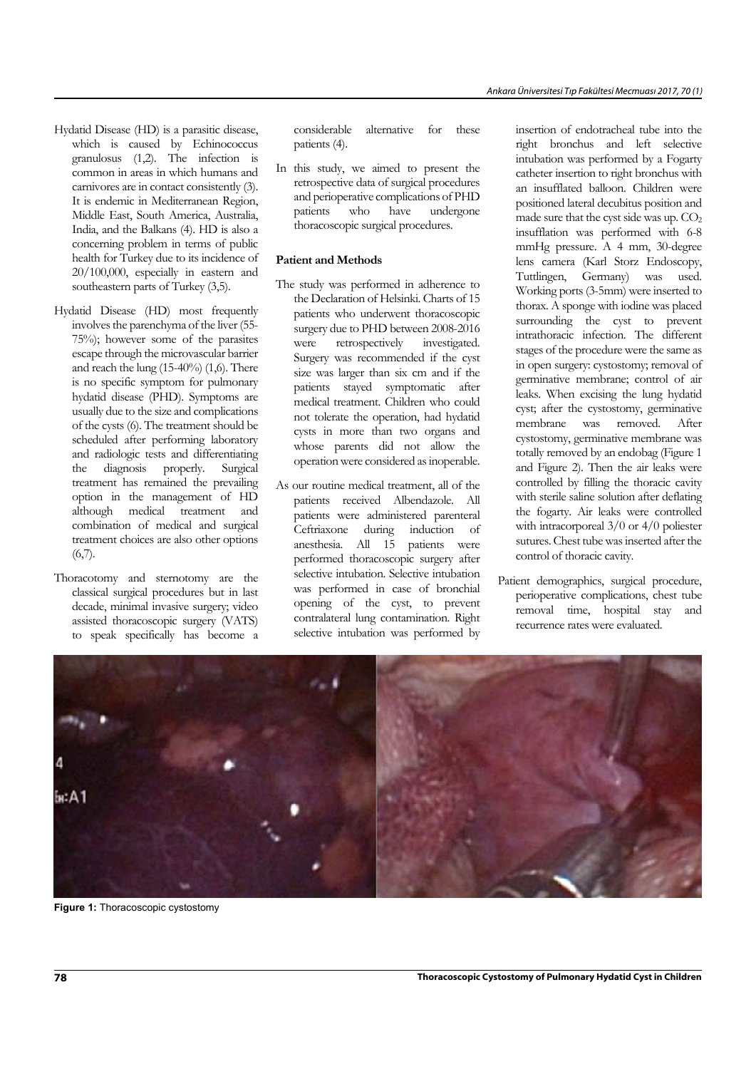- Hydatid Disease (HD) is a parasitic disease, which is caused by Echinococcus granulosus (1,2). The infection is common in areas in which humans and carnivores are in contact consistently (3). It is endemic in Mediterranean Region, Middle East, South America, Australia, India, and the Balkans (4). HD is also a concerning problem in terms of public health for Turkey due to its incidence of 20/100,000, especially in eastern and southeastern parts of Turkey (3,5).
- Hydatid Disease (HD) most frequently involves the parenchyma of the liver (55- 75%); however some of the parasites escape through the microvascular barrier and reach the lung (15-40%) (1,6). There is no specific symptom for pulmonary hydatid disease (PHD). Symptoms are usually due to the size and complications of the cysts (6). The treatment should be scheduled after performing laboratory and radiologic tests and differentiating the diagnosis properly. Surgical treatment has remained the prevailing option in the management of HD although medical treatment and combination of medical and surgical treatment choices are also other options  $(6,7)$ .
- Thoracotomy and sternotomy are the classical surgical procedures but in last decade, minimal invasive surgery; video assisted thoracoscopic surgery (VATS) to speak specifically has become a

considerable alternative for these patients (4).

In this study, we aimed to present the retrospective data of surgical procedures and perioperative complications of PHD patients who have undergone thoracoscopic surgical procedures.

#### **Patient and Methods**

- The study was performed in adherence to the Declaration of Helsinki. Charts of 15 patients who underwent thoracoscopic surgery due to PHD between 2008-2016 were retrospectively investigated. Surgery was recommended if the cyst size was larger than six cm and if the patients stayed symptomatic after medical treatment. Children who could not tolerate the operation, had hydatid cysts in more than two organs and whose parents did not allow the operation were considered as inoperable.
- As our routine medical treatment, all of the patients received Albendazole. All patients were administered parenteral Ceftriaxone during induction of anesthesia. All 15 patients were performed thoracoscopic surgery after selective intubation. Selective intubation was performed in case of bronchial opening of the cyst, to prevent contralateral lung contamination. Right selective intubation was performed by

insertion of endotracheal tube into the right bronchus and left selective intubation was performed by a Fogarty catheter insertion to right bronchus with an insufflated balloon. Children were positioned lateral decubitus position and made sure that the cyst side was up.  $CO<sub>2</sub>$ insufflation was performed with 6-8 mmHg pressure. A 4 mm, 30-degree lens camera (Karl Storz Endoscopy, Tuttlingen, Germany) was used. Working ports (3-5mm) were inserted to thorax. A sponge with iodine was placed surrounding the cyst to prevent intrathoracic infection. The different stages of the procedure were the same as in open surgery: cystostomy; removal of germinative membrane; control of air leaks. When excising the lung hydatid cyst; after the cystostomy, germinative membrane was removed. After cystostomy, germinative membrane was totally removed by an endobag (Figure 1 and Figure 2). Then the air leaks were controlled by filling the thoracic cavity with sterile saline solution after deflating the fogarty. Air leaks were controlled with intracorporeal  $3/0$  or  $4/0$  poliester sutures. Chest tube was inserted after the control of thoracic cavity.

Patient demographics, surgical procedure, perioperative complications, chest tube removal time, hospital stay and recurrence rates were evaluated.



**Figure 1:** Thoracoscopic cystostomy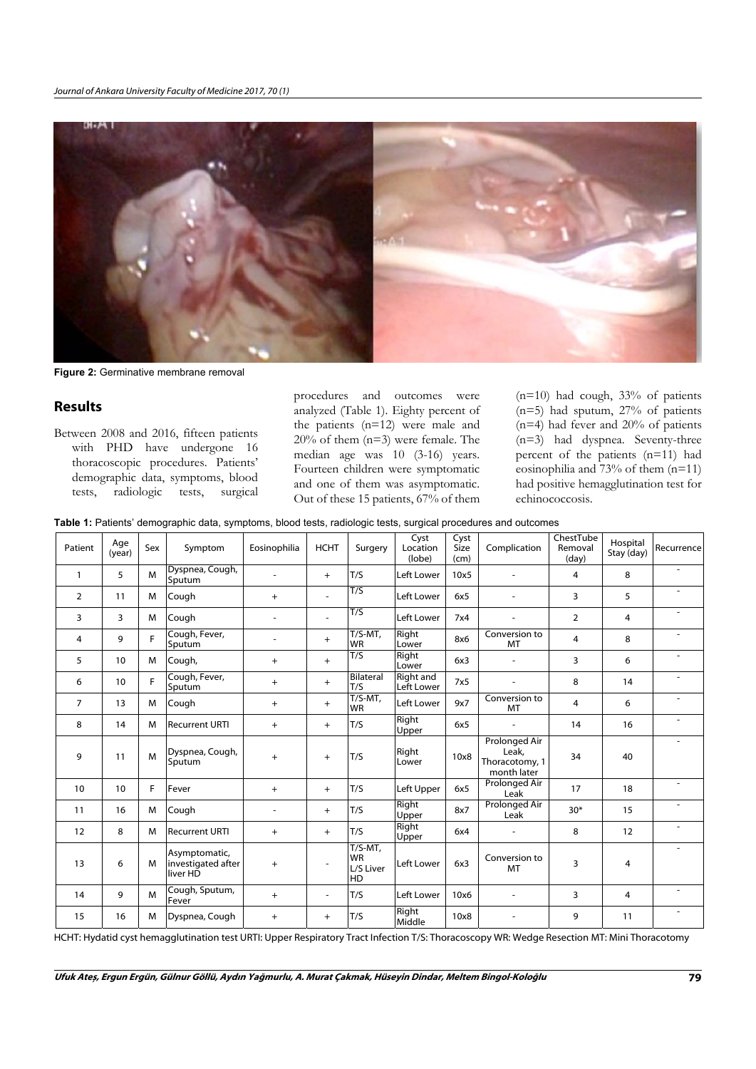

**Figure 2:** Germinative membrane removal

### Results

Between 2008 and 2016, fifteen patients with PHD have undergone 16 thoracoscopic procedures. Patients' demographic data, symptoms, blood tests, radiologic tests, surgical

procedures and outcomes were analyzed (Table 1). Eighty percent of the patients (n=12) were male and 20% of them (n=3) were female. The median age was 10 (3-16) years. Fourteen children were symptomatic and one of them was asymptomatic. Out of these 15 patients, 67% of them

(n=10) had cough, 33% of patients (n=5) had sputum, 27% of patients  $(n=4)$  had fever and 20% of patients (n=3) had dyspnea. Seventy-three percent of the patients (n=11) had eosinophilia and  $73%$  of them  $(n=11)$ had positive hemagglutination test for echinococcosis.

|  |  |  |  |  |  | Table 1: Patients' demographic data, symptoms, blood tests, radiologic tests, surgical procedures and outcomes |
|--|--|--|--|--|--|----------------------------------------------------------------------------------------------------------------|
|--|--|--|--|--|--|----------------------------------------------------------------------------------------------------------------|

| Patient        | Age<br>(year)    | Sex | Symptom                                         | Eosinophilia   | <b>HCHT</b> | Surgery                                    | Cyst<br>Location<br>(lobe)     | Cyst<br>Size<br>(cm) | Complication                                                   | ChestTube<br>Removal<br>(day) | Hospital<br>Stay (day) | Recurrence |
|----------------|------------------|-----|-------------------------------------------------|----------------|-------------|--------------------------------------------|--------------------------------|----------------------|----------------------------------------------------------------|-------------------------------|------------------------|------------|
| $\mathbf{1}$   | 5                | M   | Dyspnea, Cough,<br>Sputum                       | $\overline{a}$ | $+$         | T/S                                        | Left Lower                     | 10x5                 |                                                                | 4                             | 8                      |            |
| $\overline{2}$ | 11               | M   | Cough                                           | $+$            |             | T/S                                        | Left Lower                     | 6x5                  |                                                                | 3                             | 5                      |            |
| 3              | 3                | M   | Cough                                           |                |             | T/S                                        | Left Lower                     | 7x4                  |                                                                | $\overline{2}$                | 4                      |            |
| 4              | 9                | F   | Cough, Fever,<br>Sputum                         |                | $+$         | $T/S-MT$ ,<br><b>WR</b>                    | Right<br>Lower                 | 8x6                  | Conversion to<br>MT                                            | 4                             | 8                      |            |
| 5              | 10               | M   | Cough,                                          | $+$            | $+$         | T/S                                        | Right<br>Lower                 | 6x3                  |                                                                | 3                             | 6                      |            |
| 6              | 10 <sup>10</sup> | F   | Cough, Fever,<br>Sputum                         | $+$            | $+$         | Bilateral<br>T/S                           | <b>Right and</b><br>Left Lower | 7x5                  |                                                                | 8                             | 14                     |            |
| $\overline{7}$ | 13               | M   | Cough                                           | $+$            | $+$         | $T/S-MT,$<br><b>WR</b>                     | Left Lower                     | 9x7                  | Conversion to<br>MT                                            | 4                             | 6                      |            |
| 8              | 14               | M   | <b>Recurrent URTI</b>                           | $+$            | $+$         | T/S                                        | Right<br>Upper                 | 6x5                  |                                                                | 14                            | 16                     |            |
| 9              | 11               | M   | Dyspnea, Cough,<br>Sputum                       | $+$            | $+$         | T/S                                        | Right<br>Lower                 | 10x8                 | <b>Prolonged Air</b><br>Leak,<br>Thoracotomy, 1<br>month later | 34                            | 40                     |            |
| 10             | 10               | F   | Fever                                           | $+$            | $+$         | T/S                                        | Left Upper                     | 6x5                  | Prolonged Air<br>Leak                                          | 17                            | 18                     |            |
| 11             | 16               | M   | Cough                                           |                | $+$         | T/S                                        | Right<br>Upper                 | 8x7                  | <b>Prolonged Air</b><br>Leak                                   | $30*$                         | 15                     |            |
| 12             | 8                | M   | <b>Recurrent URTI</b>                           | $+$            | $+$         | T/S                                        | Right<br>Upper                 | 6x4                  |                                                                | 8                             | 12                     |            |
| 13             | 6                | M   | Asymptomatic,<br>investigated after<br>liver HD | $+$            |             | $T/S-MT$ ,<br><b>WR</b><br>L/S Liver<br>HD | Left Lower                     | 6x3                  | Conversion to<br>MT                                            | 3                             | 4                      |            |
| 14             | 9                | M   | Cough, Sputum,<br>Fever                         | $+$            |             | T/S                                        | Left Lower                     | 10x6                 |                                                                | 3                             | 4                      |            |
| 15             | 16               | M   | Dyspnea, Cough                                  | $+$            | $+$         | T/S                                        | Right<br>Middle                | 10x8                 |                                                                | 9                             | 11                     |            |

HCHT: Hydatid cyst hemagglutination test URTI: Upper Respiratory Tract Infection T/S: Thoracoscopy WR: Wedge Resection MT: Mini Thoracotomy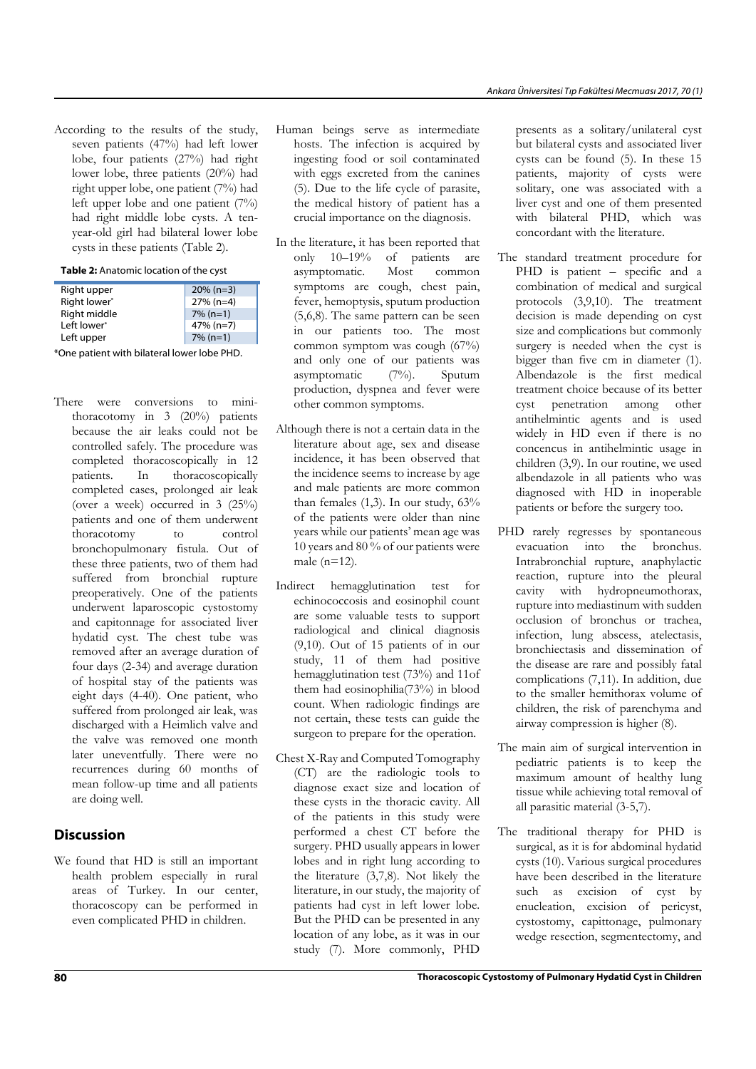According to the results of the study, seven patients (47%) had left lower lobe, four patients (27%) had right lower lobe, three patients (20%) had right upper lobe, one patient (7%) had left upper lobe and one patient (7%) had right middle lobe cysts. A tenyear-old girl had bilateral lower lobe cysts in these patients (Table 2).

#### Table 2: Anatomic location of the cyst

| Right upper  | $20\% (n=3)$ |
|--------------|--------------|
| Right lower* | $27% (n=4)$  |
| Right middle | $7\%$ (n=1)  |
| Left lower*  | $47\% (n=7)$ |
| Left upper   | $7\%$ (n=1)  |
|              |              |

\*One patient with bilateral lower lobe PHD.

There were conversions to minithoracotomy in 3 (20%) patients because the air leaks could not be controlled safely. The procedure was completed thoracoscopically in 12 patients. In thoracoscopically completed cases, prolonged air leak (over a week) occurred in 3 (25%) patients and one of them underwent thoracotomy to control bronchopulmonary fistula. Out of these three patients, two of them had suffered from bronchial rupture preoperatively. One of the patients underwent laparoscopic cystostomy and capitonnage for associated liver hydatid cyst. The chest tube was removed after an average duration of four days (2-34) and average duration of hospital stay of the patients was eight days (4-40). One patient, who suffered from prolonged air leak, was discharged with a Heimlich valve and the valve was removed one month later uneventfully. There were no recurrences during 60 months of mean follow-up time and all patients are doing well.

## Discussion

We found that HD is still an important health problem especially in rural areas of Turkey. In our center, thoracoscopy can be performed in even complicated PHD in children.

- Human beings serve as intermediate hosts. The infection is acquired by ingesting food or soil contaminated with eggs excreted from the canines (5). Due to the life cycle of parasite, the medical history of patient has a crucial importance on the diagnosis.
- In the literature, it has been reported that only 10–19% of patients are asymptomatic. Most common symptoms are cough, chest pain, fever, hemoptysis, sputum production (5,6,8). The same pattern can be seen in our patients too. The most common symptom was cough (67%) and only one of our patients was asymptomatic (7%). Sputum production, dyspnea and fever were other common symptoms.
- Although there is not a certain data in the literature about age, sex and disease incidence, it has been observed that the incidence seems to increase by age and male patients are more common than females (1,3). In our study, 63% of the patients were older than nine years while our patients' mean age was 10 years and 80 % of our patients were male (n=12).
- Indirect hemagglutination test for echinococcosis and eosinophil count are some valuable tests to support radiological and clinical diagnosis (9,10). Out of 15 patients of in our study, 11 of them had positive hemagglutination test (73%) and 11of them had eosinophilia(73%) in blood count. When radiologic findings are not certain, these tests can guide the surgeon to prepare for the operation.
- Chest X-Ray and Computed Tomography (CT) are the radiologic tools to diagnose exact size and location of these cysts in the thoracic cavity. All of the patients in this study were performed a chest CT before the surgery. PHD usually appears in lower lobes and in right lung according to the literature (3,7,8). Not likely the literature, in our study, the majority of patients had cyst in left lower lobe. But the PHD can be presented in any location of any lobe, as it was in our study (7). More commonly, PHD

presents as a solitary/unilateral cyst but bilateral cysts and associated liver cysts can be found (5). In these 15 patients, majority of cysts were solitary, one was associated with a liver cyst and one of them presented with bilateral PHD, which was concordant with the literature.

- The standard treatment procedure for PHD is patient – specific and a combination of medical and surgical protocols (3,9,10). The treatment decision is made depending on cyst size and complications but commonly surgery is needed when the cyst is bigger than five cm in diameter (1). Albendazole is the first medical treatment choice because of its better cyst penetration among other antihelmintic agents and is used widely in HD even if there is no concencus in antihelmintic usage in children (3,9). In our routine, we used albendazole in all patients who was diagnosed with HD in inoperable patients or before the surgery too.
- PHD rarely regresses by spontaneous evacuation into the bronchus. Intrabronchial rupture, anaphylactic reaction, rupture into the pleural cavity with hydropneumothorax, rupture into mediastinum with sudden occlusion of bronchus or trachea, infection, lung abscess, atelectasis, bronchiectasis and dissemination of the disease are rare and possibly fatal complications (7,11). In addition, due to the smaller hemithorax volume of children, the risk of parenchyma and airway compression is higher (8).
- The main aim of surgical intervention in pediatric patients is to keep the maximum amount of healthy lung tissue while achieving total removal of all parasitic material (3-5,7).
- The traditional therapy for PHD is surgical, as it is for abdominal hydatid cysts (10). Various surgical procedures have been described in the literature such as excision of cyst by enucleation, excision of pericyst, cystostomy, capittonage, pulmonary wedge resection, segmentectomy, and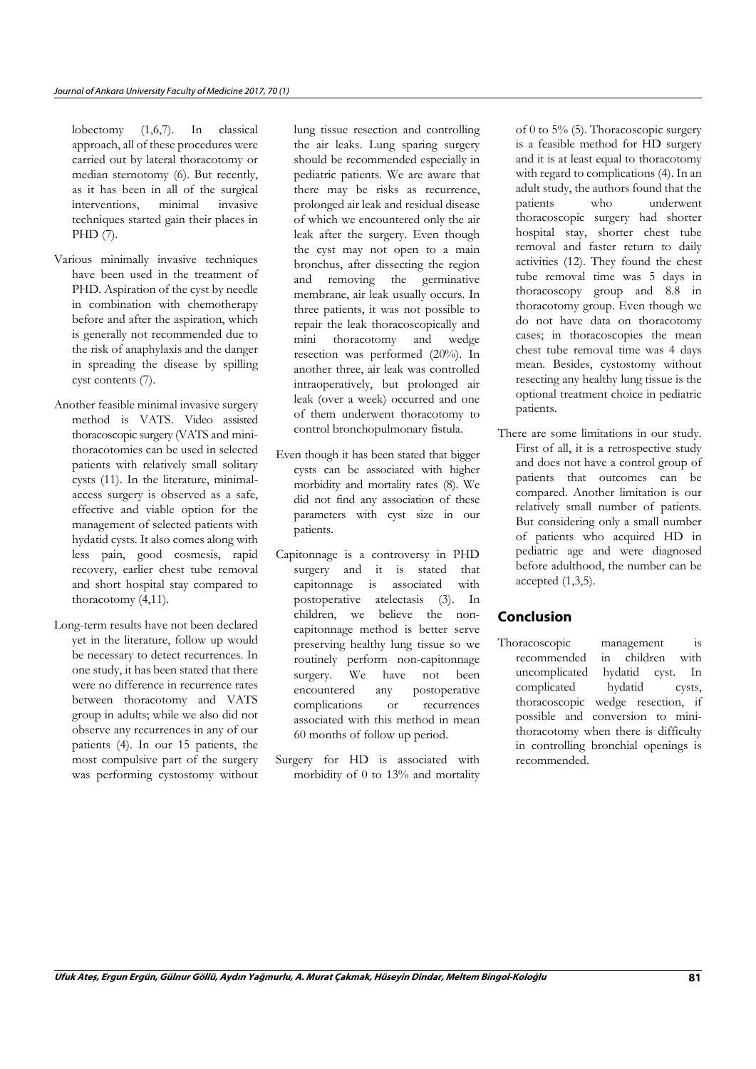lobectomy (1,6,7). In classical approach, all of these procedures were carried out by lateral thoracotomy or median sternotomy (6). But recently, as it has been in all of the surgical interventions, minimal invasive techniques started gain their places in PHD (7).

- Various minimally invasive techniques have been used in the treatment of PHD. Aspiration of the cyst by needle in combination with chemotherapy before and after the aspiration, which is generally not recommended due to the risk of anaphylaxis and the danger in spreading the disease by spilling cyst contents (7).
- Another feasible minimal invasive surgery method is VATS. Video assisted thoracoscopic surgery (VATS and minithoracotomies can be used in selected patients with relatively small solitary cysts (11). In the literature, minimalaccess surgery is observed as a safe, effective and viable option for the management of selected patients with hydatid cysts. It also comes along with less pain, good cosmesis, rapid recovery, earlier chest tube removal and short hospital stay compared to thoracotomy (4,11).
- Long-term results have not been declared yet in the literature, follow up would be necessary to detect recurrences. In one study, it has been stated that there were no difference in recurrence rates between thoracotomy and VATS group in adults; while we also did not observe any recurrences in any of our patients (4). In our 15 patients, the most compulsive part of the surgery was performing cystostomy without

lung tissue resection and controlling the air leaks. Lung sparing surgery should be recommended especially in pediatric patients. We are aware that there may be risks as recurrence, prolonged air leak and residual disease of which we encountered only the air leak after the surgery. Even though the cyst may not open to a main bronchus, after dissecting the region and removing the germinative membrane, air leak usually occurs. In three patients, it was not possible to repair the leak thoracoscopically and mini thoracotomy and wedge resection was performed (20%). In another three, air leak was controlled intraoperatively, but prolonged air leak (over a week) occurred and one of them underwent thoracotomy to control bronchopulmonary fistula.

- Even though it has been stated that bigger cysts can be associated with higher morbidity and mortality rates (8). We did not find any association of these parameters with cyst size in our patients.
- Capitonnage is a controversy in PHD surgery and it is stated that capitonnage is associated with postoperative atelectasis (3). In children, we believe the noncapitonnage method is better serve preserving healthy lung tissue so we routinely perform non-capitonnage surgery. We have not been encountered any postoperative complications or recurrences associated with this method in mean 60 months of follow up period.
- Surgery for HD is associated with morbidity of 0 to 13% and mortality

of 0 to 5% (5). Thoracoscopic surgery is a feasible method for HD surgery and it is at least equal to thoracotomy with regard to complications (4). In an adult study, the authors found that the patients who underwent thoracoscopic surgery had shorter hospital stay, shorter chest tube removal and faster return to daily activities (12). They found the chest tube removal time was 5 days in thoracoscopy group and 8.8 in thoracotomy group. Even though we do not have data on thoracotomy cases; in thoracoscopies the mean chest tube removal time was 4 days mean. Besides, cystostomy without resecting any healthy lung tissue is the optional treatment choice in pediatric patients.

There are some limitations in our study. First of all, it is a retrospective study and does not have a control group of patients that outcomes can be compared. Another limitation is our relatively small number of patients. But considering only a small number of patients who acquired HD in pediatric age and were diagnosed before adulthood, the number can be accepted (1,3,5).

## Conclusion

Thoracoscopic management is recommended in children with uncomplicated hydatid cyst. In complicated hydatid cysts, thoracoscopic wedge resection, if possible and conversion to minithoracotomy when there is difficulty in controlling bronchial openings is recommended.